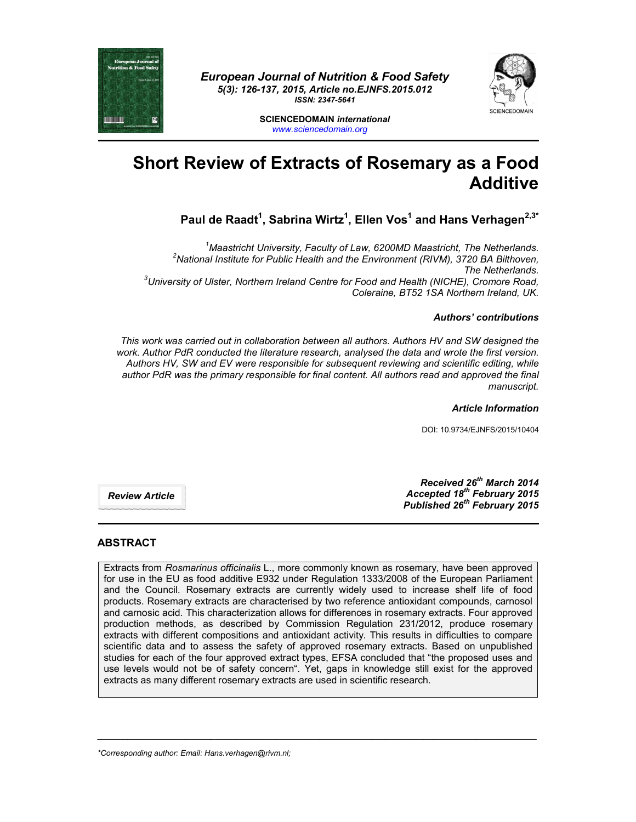

*European Journal of Nutrition & Food Safety 5(3): 126-137, 2015, Article no.EJNFS.2015.012 ISSN: 2347-5641*



**SCIENCEDOMAIN** *international www.sciencedomain.org*

# **Short Review of Extracts of Rosemary as a Food Additive**

**Paul de Raadt1 , Sabrina Wirtz1 , Ellen Vos1 and Hans Verhagen2,3\***

<sup>1</sup>Maastricht University, Faculty of Law, 6200MD Maastricht, The Netherlands.<br><sup>2</sup>Netional Institute for Public Hoelth and the Environment (BIVM), 2720, BA Bilthough <sup>2</sup> National Institute for Public Health and the Environment (RIVM), 3720 BA Bilthoven, *The Netherlands. 3 University of Ulster, Northern Ireland Centre for Food and Health (NICHE), Cromore Road, Coleraine, BT52 1SA Northern Ireland, UK.*

### *Authors' contributions*

*This work was carried out in collaboration between all authors. Authors HV and SW designed the work. Author PdR conducted the literature research, analysed the data and wrote the first version. Authors HV, SW and EV were responsible for subsequent reviewing and scientific editing, while author PdR was the primary responsible for final content. All authors read and approved the final manuscript.*

*Article Information*

DOI: 10.9734/EJNFS/2015/10404

*Review Article*

*Received 26th March 2014 Accepted 18th February 2015 Published 26th February 2015*

## **ABSTRACT**

Extracts from *Rosmarinus officinalis* L., more commonly known as rosemary, have been approved for use in the EU as food additive E932 under Regulation 1333/2008 of the European Parliament and the Council. Rosemary extracts are currently widely used to increase shelf life of food products. Rosemary extracts are characterised by two reference antioxidant compounds, carnosol and carnosic acid. This characterization allows for differences in rosemary extracts. Four approved production methods, as described by Commission Regulation 231/2012, produce rosemary extracts with different compositions and antioxidant activity. This results in difficulties to compare scientific data and to assess the safety of approved rosemary extracts. Based on unpublished studies for each of the four approved extract types, EFSA concluded that "the proposed uses and use levels would not be of safety concern". Yet, gaps in knowledge still exist for the approved extracts as many different rosemary extracts are used in scientific research.

\_\_\_\_\_\_\_\_\_\_\_\_\_\_\_\_\_\_\_\_\_\_\_\_\_\_\_\_\_\_\_\_\_\_\_\_\_\_\_\_\_\_\_\_\_\_\_\_\_\_\_\_\_\_\_\_\_\_\_\_\_\_\_\_\_\_\_\_\_\_\_\_\_\_\_\_\_\_\_\_\_\_\_\_\_\_\_\_\_\_\_\_\_\_\_\_\_\_\_\_\_

*\*Corresponding author: Email: Hans.verhagen@rivm.nl;*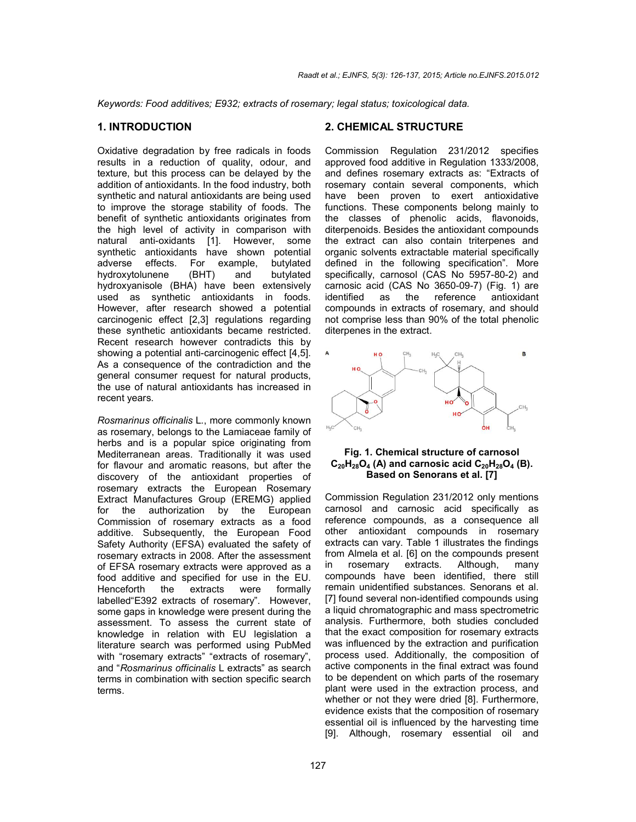*Keywords: Food additives; E932; extracts of rosemary; legal status; toxicological data.*

# **1. INTRODUCTION**

Oxidative degradation by free radicals in foods results in a reduction of quality, odour, and texture, but this process can be delayed by the addition of antioxidants. In the food industry, both synthetic and natural antioxidants are being used to improve the storage stability of foods. The benefit of synthetic antioxidants originates from the high level of activity in comparison with natural anti-oxidants [1]. However, some synthetic antioxidants have shown potential adverse effects. For example, butylated hydroxytolunene (BHT) and butylated hydroxyanisole (BHA) have been extensively used as synthetic antioxidants in foods. However, after research showed a potential carcinogenic effect [2,3] regulations regarding these synthetic antioxidants became restricted. Recent research however contradicts this by showing a potential anti-carcinogenic effect [4,5]. As a consequence of the contradiction and the general consumer request for natural products, the use of natural antioxidants has increased in recent years.

*Rosmarinus officinalis* L*.*, more commonly known as rosemary, belongs to the Lamiaceae family of herbs and is a popular spice originating from Mediterranean areas. Traditionally it was used for flavour and aromatic reasons, but after the discovery of the antioxidant properties of rosemary extracts the European Rosemary Extract Manufactures Group (EREMG) applied for the authorization by the European Commission of rosemary extracts as a food additive. Subsequently, the European Food Safety Authority (EFSA) evaluated the safety of rosemary extracts in 2008. After the assessment of EFSA rosemary extracts were approved as a food additive and specified for use in the EU. Henceforth the extracts were formally labelled"E392 extracts of rosemary". However, some gaps in knowledge were present during the assessment. To assess the current state of knowledge in relation with EU legislation a literature search was performed using PubMed with "rosemary extracts" "extracts of rosemary", and "*Rosmarinus officinalis* L extracts" as search terms in combination with section specific search terms.

### **2. CHEMICAL STRUCTURE**

Commission Regulation 231/2012 specifies approved food additive in Regulation 1333/2008, and defines rosemary extracts as: "Extracts of rosemary contain several components, which have been proven to exert antioxidative functions. These components belong mainly to the classes of phenolic acids, flavonoids, diterpenoids. Besides the antioxidant compounds the extract can also contain triterpenes and organic solvents extractable material specifically defined in the following specification". More specifically, carnosol (CAS No 5957-80-2) and carnosic acid (CAS No 3650-09-7) (Fig. 1) are the reference compounds in extracts of rosemary, and should not comprise less than 90% of the total phenolic diterpenes in the extract.



#### **Fig. 1. Chemical structure of carnosol**  $C_{20}H_{28}O_4$  (A) and carnosic acid  $C_{20}H_{28}O_4$  (B). **Based on Senorans et al. [7]**

Commission Regulation 231/2012 only mentions carnosol and carnosic acid specifically as reference compounds, as a consequence all other antioxidant compounds in rosemary extracts can vary. Table 1 illustrates the findings from Almela et al. [6] on the compounds present<br>in rosemary extracts. Although. many in rosemary extracts. Although, many compounds have been identified, there still remain unidentified substances. Senorans et al. [7] found several non-identified compounds using a liquid chromatographic and mass spectrometric analysis. Furthermore, both studies concluded that the exact composition for rosemary extracts was influenced by the extraction and purification process used. Additionally, the composition of active components in the final extract was found to be dependent on which parts of the rosemary plant were used in the extraction process, and whether or not they were dried [8]. Furthermore, evidence exists that the composition of rosemary essential oil is influenced by the harvesting time [9]. Although, rosemary essential oil and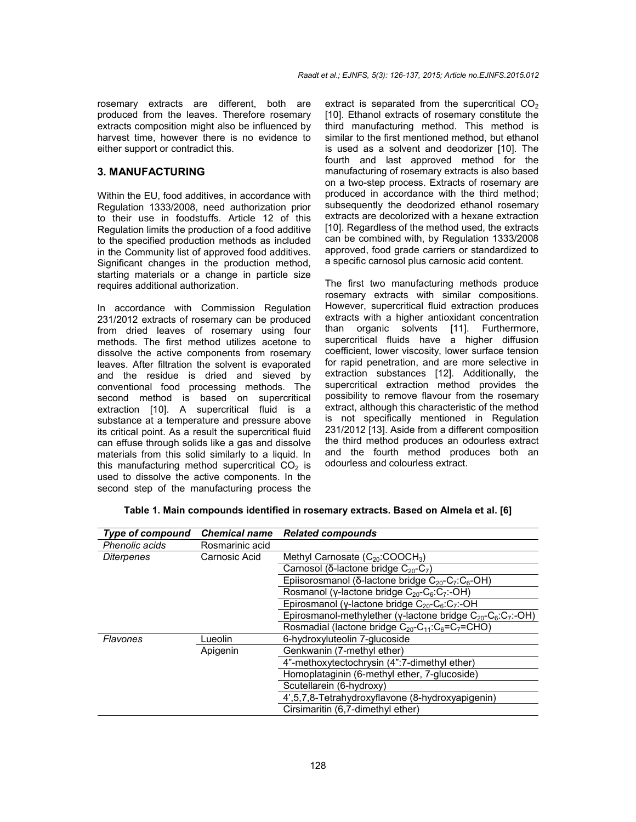rosemary extracts are different, both are produced from the leaves. Therefore rosemary extracts composition might also be influenced by harvest time, however there is no evidence to either support or contradict this.

### **3. MANUFACTURING**

Within the EU, food additives, in accordance with Regulation 1333/2008, need authorization prior to their use in foodstuffs. Article 12 of this Regulation limits the production of a food additive to the specified production methods as included in the Community list of approved food additives. Significant changes in the production method, starting materials or a change in particle size requires additional authorization.

In accordance with Commission Regulation 231/2012 extracts of rosemary can be produced from dried leaves of rosemary using four methods. The first method utilizes acetone to dissolve the active components from rosemary leaves. After filtration the solvent is evaporated and the residue is dried and sieved by conventional food processing methods. The second method is based on supercritical extraction [10]. A supercritical fluid is a substance at a temperature and pressure above its critical point. As a result the supercritical fluid can effuse through solids like a gas and dissolve materials from this solid similarly to a liquid. In this manufacturing method supercritical  $CO<sub>2</sub>$  is used to dissolve the active components. In the second step of the manufacturing process the extract is separated from the supercritical  $CO<sub>2</sub>$ [10]. Ethanol extracts of rosemary constitute the third manufacturing method. This method is similar to the first mentioned method, but ethanol is used as a solvent and deodorizer [10]. The fourth and last approved method for the manufacturing of rosemary extracts is also based on a two-step process. Extracts of rosemary are produced in accordance with the third method; subsequently the deodorized ethanol rosemary extracts are decolorized with a hexane extraction [10]. Regardless of the method used, the extracts can be combined with, by Regulation 1333/2008 approved, food grade carriers or standardized to a specific carnosol plus carnosic acid content.

The first two manufacturing methods produce rosemary extracts with similar compositions. However, supercritical fluid extraction produces extracts with a higher antioxidant concentration than organic solvents [11]. Furthermore, supercritical fluids have a higher diffusion coefficient, lower viscosity, lower surface tension for rapid penetration, and are more selective in extraction substances [12]. Additionally, the supercritical extraction method provides the possibility to remove flavour from the rosemary extract, although this characteristic of the method is not specifically mentioned in Regulation 231/2012 [13]. Aside from a different composition the third method produces an odourless extract and the fourth method produces both an odourless and colourless extract.

| <b>Type of compound</b> | <b>Chemical name</b> | <b>Related compounds</b>                                                       |  |
|-------------------------|----------------------|--------------------------------------------------------------------------------|--|
| Phenolic acids          | Rosmarinic acid      |                                                                                |  |
| Diterpenes              | Carnosic Acid        | Methyl Carnosate $(C_{20} : COOCH3)$                                           |  |
|                         |                      | Carnosol ( $\delta$ -lactone bridge $C_{20}$ -C <sub>7</sub> )                 |  |
|                         |                      | Epiisorosmanol (δ-lactone bridge $C_{20}$ -C <sub>7</sub> :C <sub>6</sub> -OH) |  |
|                         |                      | Rosmanol (y-lactone bridge $C_{20}$ - $C_6$ : $C_7$ :-OH)                      |  |
|                         |                      | Epirosmanol (y-lactone bridge $C_{20}$ - $C_6$ : $C_7$ :-OH                    |  |
|                         |                      | Epirosmanol-methylether (y-lactone bridge $C_{20}$ - $C_6$ : $C_7$ :-OH)       |  |
|                         |                      | Rosmadial (lactone bridge $C_{20}$ - $C_{11}$ : $C_6$ = $C_7$ =CHO)            |  |
| Flavones                | Lueolin              | 6-hydroxyluteolin 7-glucoside                                                  |  |
|                         | Apigenin             | Genkwanin (7-methyl ether)                                                     |  |
|                         |                      | 4"-methoxytectochrysin (4":7-dimethyl ether)                                   |  |
|                         |                      | Homoplataginin (6-methyl ether, 7-glucoside)                                   |  |
|                         |                      | Scutellarein (6-hydroxy)                                                       |  |
|                         |                      | 4',5,7,8-Tetrahydroxyflavone (8-hydroxyapigenin)                               |  |
|                         |                      | Cirsimaritin (6,7-dimethyl ether)                                              |  |

| Table 1. Main compounds identified in rosemary extracts. Based on Almela et al. [6] |  |
|-------------------------------------------------------------------------------------|--|
|-------------------------------------------------------------------------------------|--|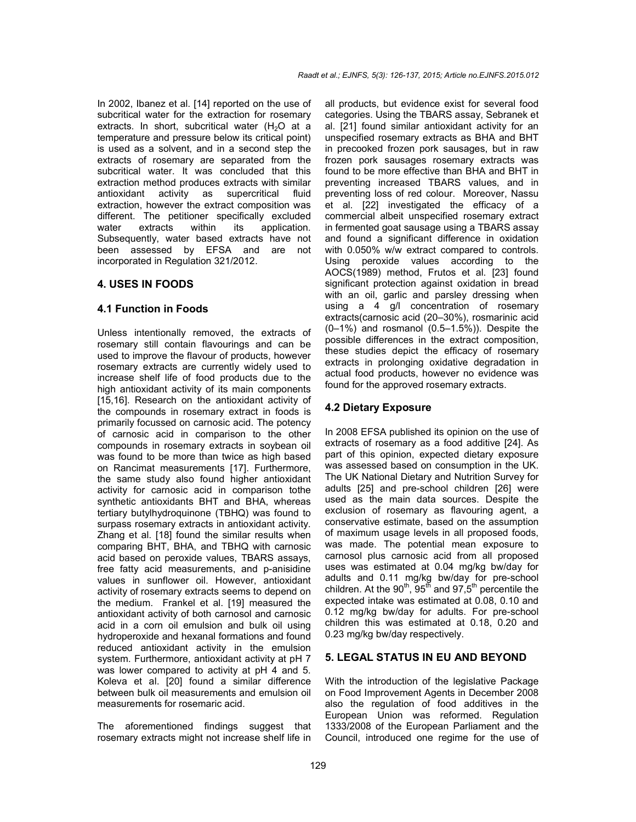In 2002, Ibanez et al. [14] reported on the use of subcritical water for the extraction for rosemary extracts. In short, subcritical water  $(H<sub>2</sub>O$  at a temperature and pressure below its critical point) is used as a solvent, and in a second step the extracts of rosemary are separated from the subcritical water. It was concluded that this extraction method produces extracts with similar antioxidant activity as supercritical fluid extraction, however the extract composition was different. The petitioner specifically excluded water extracts within its application. Subsequently, water based extracts have not been assessed by EFSA and are not incorporated in Regulation 321/2012.

#### **4. USES IN FOODS**

#### **4.1 Function in Foods**

Unless intentionally removed, the extracts of rosemary still contain flavourings and can be used to improve the flavour of products, however rosemary extracts are currently widely used to increase shelf life of food products due to the high antioxidant activity of its main components [15,16]. Research on the antioxidant activity of the compounds in rosemary extract in foods is primarily focussed on carnosic acid. The potency of carnosic acid in comparison to the other compounds in rosemary extracts in soybean oil was found to be more than twice as high based on Rancimat measurements [17]. Furthermore, the same study also found higher antioxidant activity for carnosic acid in comparison tothe synthetic antioxidants BHT and BHA, whereas tertiary butylhydroquinone (TBHQ) was found to surpass rosemary extracts in antioxidant activity. Zhang et al. [18] found the similar results when comparing BHT, BHA, and TBHQ with carnosic acid based on peroxide values, TBARS assays, free fatty acid measurements, and p-anisidine values in sunflower oil. However, antioxidant activity of rosemary extracts seems to depend on the medium. Frankel et al. [19] measured the antioxidant activity of both carnosol and carnosic acid in a corn oil emulsion and bulk oil using hydroperoxide and hexanal formations and found reduced antioxidant activity in the emulsion system. Furthermore, antioxidant activity at pH 7 was lower compared to activity at pH 4 and 5. Koleva et al. [20] found a similar difference between bulk oil measurements and emulsion oil measurements for rosemaric acid.

The aforementioned findings suggest that rosemary extracts might not increase shelf life in all products, but evidence exist for several food categories. Using the TBARS assay, Sebranek et al. [21] found similar antioxidant activity for an unspecified rosemary extracts as BHA and BHT in precooked frozen pork sausages, but in raw frozen pork sausages rosemary extracts was found to be more effective than BHA and BHT in preventing increased TBARS values, and in preventing loss of red colour. Moreover, Nassu et al. [22] investigated the efficacy of a commercial albeit unspecified rosemary extract in fermented goat sausage using a TBARS assay and found a significant difference in oxidation with 0.050% w/w extract compared to controls. Using peroxide values according to the AOCS(1989) method, Frutos et al. [23] found significant protection against oxidation in bread with an oil, garlic and parsley dressing when using a 4 g/l concentration of rosemary extracts(carnosic acid (20–30%), rosmarinic acid (0–1%) and rosmanol (0.5–1.5%)). Despite the possible differences in the extract composition, these studies depict the efficacy of rosemary extracts in prolonging oxidative degradation in actual food products, however no evidence was found for the approved rosemary extracts.

#### **4.2 Dietary Exposure**

In 2008 EFSA published its opinion on the use of extracts of rosemary as a food additive [24]. As part of this opinion, expected dietary exposure was assessed based on consumption in the UK. The UK National Dietary and Nutrition Survey for adults [25] and pre-school children [26] were used as the main data sources. Despite the exclusion of rosemary as flavouring agent, a conservative estimate, based on the assumption of maximum usage levels in all proposed foods, was made. The potential mean exposure to carnosol plus carnosic acid from all proposed uses was estimated at 0.04 mg/kg bw/day for adults and 0.11 mg/kg bw/day for pre-school children. At the  $90<sup>th</sup>$ ,  $95<sup>th</sup>$  and  $97.5<sup>th</sup>$  percentile the expected intake was estimated at 0.08, 0.10 and 0.12 mg/kg bw/day for adults. For pre-school children this was estimated at 0.18, 0.20 and 0.23 mg/kg bw/day respectively.

# **5. LEGAL STATUS IN EU AND BEYOND**

With the introduction of the legislative Package on Food Improvement Agents in December 2008 also the regulation of food additives in the European Union was reformed. Regulation 1333/2008 of the European Parliament and the Council, introduced one regime for the use of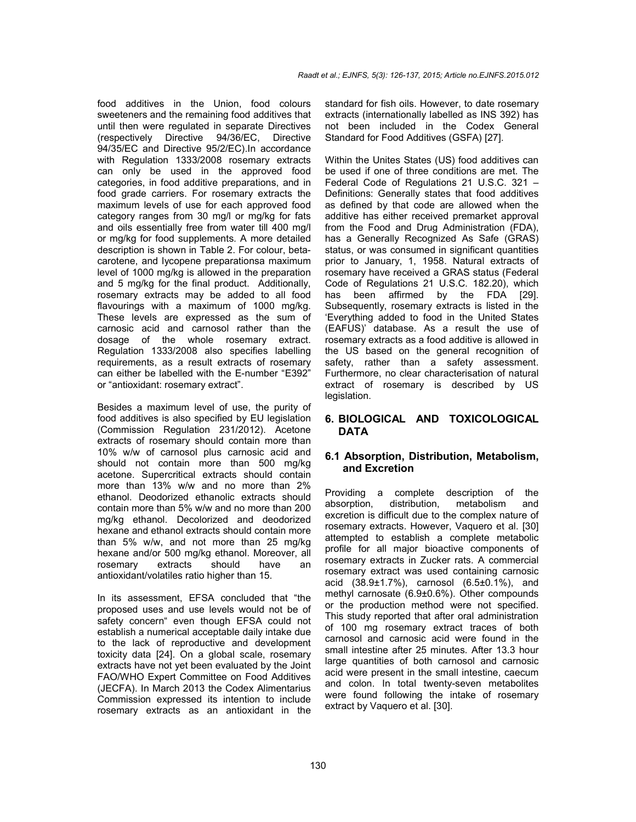food additives in the Union, food colours sweeteners and the remaining food additives that until then were regulated in separate Directives (respectively Directive 94/36/EC, Directive 94/35/EC and Directive 95/2/EC).In accordance with Regulation 1333/2008 rosemary extracts can only be used in the approved food categories, in food additive preparations, and in food grade carriers. For rosemary extracts the maximum levels of use for each approved food category ranges from 30 mg/l or mg/kg for fats and oils essentially free from water till 400 mg/l or mg/kg for food supplements. A more detailed description is shown in Table 2. For colour, betacarotene, and lycopene preparationsa maximum level of 1000 mg/kg is allowed in the preparation and 5 mg/kg for the final product. Additionally, rosemary extracts may be added to all food flavourings with a maximum of 1000 mg/kg. These levels are expressed as the sum of carnosic acid and carnosol rather than the dosage of the whole rosemary extract. Regulation 1333/2008 also specifies labelling requirements, as a result extracts of rosemary can either be labelled with the E-number "E392" or "antioxidant: rosemary extract".

Besides a maximum level of use, the purity of food additives is also specified by EU legislation (Commission Regulation 231/2012). Acetone extracts of rosemary should contain more than 10% w/w of carnosol plus carnosic acid and should not contain more than 500 mg/kg acetone. Supercritical extracts should contain more than 13% w/w and no more than 2% ethanol. Deodorized ethanolic extracts should contain more than 5% w/w and no more than 200 mg/kg ethanol. Decolorized and deodorized hexane and ethanol extracts should contain more than 5% w/w, and not more than 25 mg/kg hexane and/or 500 mg/kg ethanol. Moreover, all rosemary extracts should have an antioxidant/volatiles ratio higher than 15.

In its assessment, EFSA concluded that "the proposed uses and use levels would not be of safety concern" even though EFSA could not establish a numerical acceptable daily intake due to the lack of reproductive and development toxicity data [24]. On a global scale, rosemary extracts have not yet been evaluated by the Joint FAO/WHO Expert Committee on Food Additives (JECFA). In March 2013 the Codex Alimentarius Commission expressed its intention to include rosemary extracts as an antioxidant in the

standard for fish oils. However, to date rosemary extracts (internationally labelled as INS 392) has not been included in the Codex General Standard for Food Additives (GSFA) [27].

Within the Unites States (US) food additives can be used if one of three conditions are met. The Federal Code of Regulations 21 U.S.C. 321 – Definitions: Generally states that food additives as defined by that code are allowed when the additive has either received premarket approval from the Food and Drug Administration (FDA), has a Generally Recognized As Safe (GRAS) status, or was consumed in significant quantities prior to January, 1, 1958. Natural extracts of rosemary have received a GRAS status (Federal Code of Regulations 21 U.S.C. 182.20), which has been affirmed by the FDA [29]. Subsequently, rosemary extracts is listed in the 'Everything added to food in the United States (EAFUS)' database. As a result the use of rosemary extracts as a food additive is allowed in the US based on the general recognition of safety, rather than a safety assessment. Furthermore, no clear characterisation of natural extract of rosemary is described by US legislation.

## **6. BIOLOGICAL AND TOXICOLOGICAL DATA**

## **6.1 Absorption, Distribution, Metabolism, and Excretion**

Providing a complete description of the absorption, distribution, metabolism and excretion is difficult due to the complex nature of rosemary extracts. However, Vaquero et al. [30] attempted to establish a complete metabolic profile for all major bioactive components of rosemary extracts in Zucker rats. A commercial rosemary extract was used containing carnosic acid (38.9±1.7%), carnosol (6.5±0.1%), and methyl carnosate (6.9±0.6%). Other compounds or the production method were not specified. This study reported that after oral administration of 100 mg rosemary extract traces of both carnosol and carnosic acid were found in the small intestine after 25 minutes. After 13.3 hour large quantities of both carnosol and carnosic acid were present in the small intestine, caecum and colon. In total twenty-seven metabolites were found following the intake of rosemary extract by Vaquero et al. [30].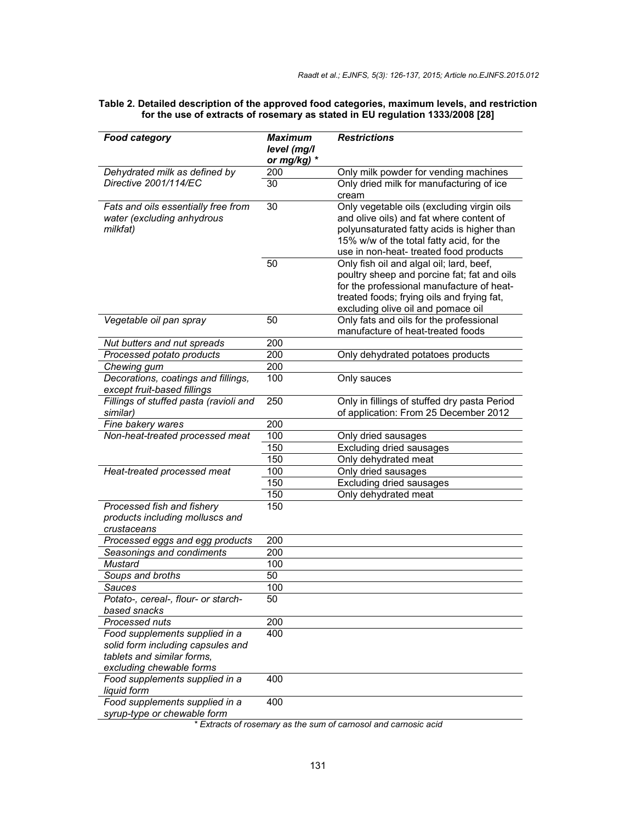| <b>Food category</b>                   | Maximum     | <b>Restrictions</b>                                                                      |
|----------------------------------------|-------------|------------------------------------------------------------------------------------------|
|                                        | level (mg/l |                                                                                          |
|                                        | or mg/kg) * |                                                                                          |
| Dehydrated milk as defined by          | 200         | Only milk powder for vending machines                                                    |
| Directive 2001/114/EC                  | 30          | Only dried milk for manufacturing of ice                                                 |
|                                        |             | cream                                                                                    |
| Fats and oils essentially free from    | 30          | Only vegetable oils (excluding virgin oils                                               |
| water (excluding anhydrous             |             | and olive oils) and fat where content of                                                 |
| milkfat)                               |             | polyunsaturated fatty acids is higher than                                               |
|                                        |             | 15% w/w of the total fatty acid, for the                                                 |
|                                        |             | use in non-heat- treated food products                                                   |
|                                        | 50          | Only fish oil and algal oil; lard, beef,                                                 |
|                                        |             | poultry sheep and porcine fat; fat and oils<br>for the professional manufacture of heat- |
|                                        |             | treated foods; frying oils and frying fat,                                               |
|                                        |             | excluding olive oil and pomace oil                                                       |
| Vegetable oil pan spray                | 50          | Only fats and oils for the professional                                                  |
|                                        |             | manufacture of heat-treated foods                                                        |
| Nut butters and nut spreads            | 200         |                                                                                          |
| Processed potato products              | 200         | Only dehydrated potatoes products                                                        |
| Chewing gum                            | 200         |                                                                                          |
| Decorations, coatings and fillings,    | 100         | Only sauces                                                                              |
| except fruit-based fillings            |             |                                                                                          |
| Fillings of stuffed pasta (ravioli and | 250         | Only in fillings of stuffed dry pasta Period                                             |
| similar)                               |             | of application: From 25 December 2012                                                    |
| Fine bakery wares                      | 200         |                                                                                          |
| Non-heat-treated processed meat        | 100         | Only dried sausages                                                                      |
|                                        | 150         | <b>Excluding dried sausages</b>                                                          |
|                                        | 150         | Only dehydrated meat                                                                     |
| Heat-treated processed meat            | 100         | Only dried sausages                                                                      |
|                                        | 150         | <b>Excluding dried sausages</b>                                                          |
|                                        | 150         | Only dehydrated meat                                                                     |
| Processed fish and fishery             | 150         |                                                                                          |
| products including molluscs and        |             |                                                                                          |
| crustaceans                            |             |                                                                                          |
| Processed eggs and egg products        | 200         |                                                                                          |
| Seasonings and condiments              | 200         |                                                                                          |
| Mustard                                | 100         |                                                                                          |
| Soups and broths                       | 50          |                                                                                          |
| Sauces                                 | 100         |                                                                                          |
| Potato-, cereal-, flour- or starch-    | 50          |                                                                                          |
| based snacks                           |             |                                                                                          |
| Processed nuts                         | 200         |                                                                                          |
| Food supplements supplied in a         | 400         |                                                                                          |
| solid form including capsules and      |             |                                                                                          |
| tablets and similar forms.             |             |                                                                                          |
| excluding chewable forms               |             |                                                                                          |
| Food supplements supplied in a         | 400         |                                                                                          |
| liquid form                            |             |                                                                                          |
| Food supplements supplied in a         | 400         |                                                                                          |
| syrup-type or chewable form            |             |                                                                                          |

#### **Table 2. Detailed description of the approved food categories, maximum levels, and restriction for the use of extracts of rosemary as stated in EU regulation 1333/2008 [28]**

*\* Extracts of rosemary as the sum of carnosol and carnosic acid*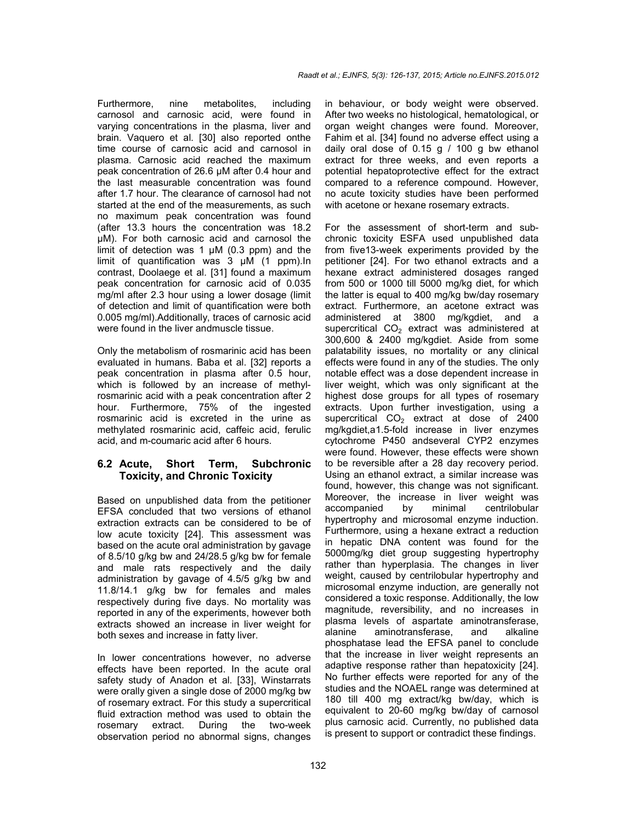Furthermore, nine metabolites, including carnosol and carnosic acid, were found in varying concentrations in the plasma, liver and brain. Vaquero et al. [30] also reported onthe time course of carnosic acid and carnosol in plasma. Carnosic acid reached the maximum peak concentration of 26.6 µM after 0.4 hour and the last measurable concentration was found after 1.7 hour. The clearance of carnosol had not started at the end of the measurements, as such no maximum peak concentration was found (after 13.3 hours the concentration was 18.2 µM). For both carnosic acid and carnosol the limit of detection was 1  $\mu$ M (0.3 ppm) and the limit of quantification was 3 µM (1 ppm).In contrast, Doolaege et al. [31] found a maximum peak concentration for carnosic acid of 0.035 mg/ml after 2.3 hour using a lower dosage (limit of detection and limit of quantification were both 0.005 mg/ml).Additionally, traces of carnosic acid were found in the liver andmuscle tissue.

Only the metabolism of rosmarinic acid has been evaluated in humans. Baba et al. [32] reports a peak concentration in plasma after 0.5 hour, which is followed by an increase of methylrosmarinic acid with a peak concentration after 2 hour. Furthermore, 75% of the ingested rosmarinic acid is excreted in the urine as methylated rosmarinic acid, caffeic acid, ferulic acid, and m-coumaric acid after 6 hours.

# **6.2 Acute, Short Term, Subchronic Toxicity, and Chronic Toxicity**

Based on unpublished data from the petitioner EFSA concluded that two versions of ethanol extraction extracts can be considered to be of low acute toxicity [24]. This assessment was based on the acute oral administration by gavage of 8.5/10 g/kg bw and 24/28.5 g/kg bw for female and male rats respectively and the daily administration by gavage of 4.5/5 g/kg bw and 11.8/14.1 g/kg bw for females and males respectively during five days. No mortality was reported in any of the experiments, however both extracts showed an increase in liver weight for both sexes and increase in fatty liver.

In lower concentrations however, no adverse effects have been reported. In the acute oral safety study of Anadon et al. [33], Winstarrats were orally given a single dose of 2000 mg/kg bw of rosemary extract. For this study a supercritical fluid extraction method was used to obtain the rosemary extract. During the two-week observation period no abnormal signs, changes in behaviour, or body weight were observed. After two weeks no histological, hematological, or organ weight changes were found. Moreover, Fahim et al. [34] found no adverse effect using a daily oral dose of 0.15 g / 100 g bw ethanol extract for three weeks, and even reports a potential hepatoprotective effect for the extract compared to a reference compound. However, no acute toxicity studies have been performed with acetone or hexane rosemary extracts.

For the assessment of short-term and subchronic toxicity ESFA used unpublished data from five13-week experiments provided by the petitioner [24]. For two ethanol extracts and a hexane extract administered dosages ranged from 500 or 1000 till 5000 mg/kg diet, for which the latter is equal to 400 mg/kg bw/day rosemary extract. Furthermore, an acetone extract was administered at 3800 mg/kgdiet, and a supercritical  $CO<sub>2</sub>$  extract was administered at 300,600 & 2400 mg/kgdiet. Aside from some palatability issues, no mortality or any clinical effects were found in any of the studies. The only notable effect was a dose dependent increase in liver weight, which was only significant at the highest dose groups for all types of rosemary extracts. Upon further investigation, using a supercritical  $CO<sub>2</sub>$  extract at dose of 2400 mg/kgdiet,a1.5-fold increase in liver enzymes cytochrome P450 andseveral CYP2 enzymes were found. However, these effects were shown to be reversible after a 28 day recovery period. Using an ethanol extract, a similar increase was found, however, this change was not significant. Moreover, the increase in liver weight was<br>accompanied by minimal centrilobular accompanied by hypertrophy and microsomal enzyme induction. Furthermore, using a hexane extract a reduction in hepatic DNA content was found for the 5000mg/kg diet group suggesting hypertrophy rather than hyperplasia. The changes in liver weight, caused by centrilobular hypertrophy and microsomal enzyme induction, are generally not considered a toxic response. Additionally, the low magnitude, reversibility, and no increases in plasma levels of aspartate aminotransferase, alanine aminotransferase, and alkaline phosphatase lead the EFSA panel to conclude that the increase in liver weight represents an adaptive response rather than hepatoxicity [24]. No further effects were reported for any of the studies and the NOAEL range was determined at 180 till 400 mg extract/kg bw/day, which is equivalent to 20-60 mg/kg bw/day of carnosol plus carnosic acid. Currently, no published data is present to support or contradict these findings.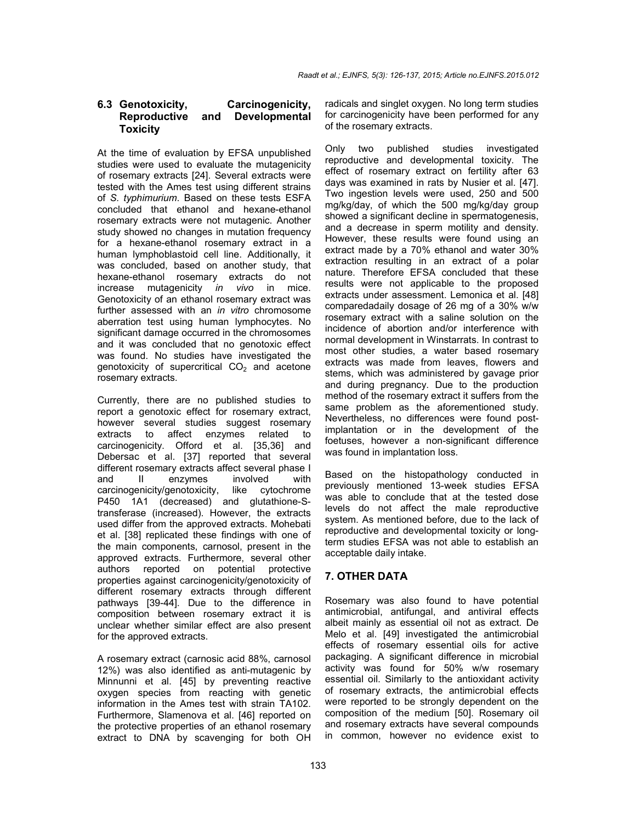## **6.3 Genotoxicity, Carcinogenicity, Reproductive and Developmental Toxicity**

At the time of evaluation by EFSA unpublished studies were used to evaluate the mutagenicity of rosemary extracts [24]. Several extracts were tested with the Ames test using different strains of *S. typhimurium*. Based on these tests ESFA concluded that ethanol and hexane-ethanol rosemary extracts were not mutagenic. Another study showed no changes in mutation frequency for a hexane-ethanol rosemary extract in a human lymphoblastoid cell line. Additionally, it was concluded, based on another study, that hexane-ethanol rosemary extracts do not increase mutagenicity *in vivo* in mice. Genotoxicity of an ethanol rosemary extract was further assessed with an *in vitro* chromosome aberration test using human lymphocytes. No significant damage occurred in the chromosomes and it was concluded that no genotoxic effect was found. No studies have investigated the  $q$ enotoxicity of supercritical  $CO<sub>2</sub>$  and acetone rosemary extracts.

Currently, there are no published studies to report a genotoxic effect for rosemary extract, however several studies suggest rosemary extracts to affect enzymes related to carcinogenicity. Offord et al. [35,36] and Debersac et al. [37] reported that several different rosemary extracts affect several phase I and II enzymes involved with carcinogenicity/genotoxicity, like cytochrome P450 1A1 (decreased) and glutathione-Stransferase (increased). However, the extracts used differ from the approved extracts. Mohebati et al. [38] replicated these findings with one of the main components, carnosol, present in the approved extracts. Furthermore, several other authors reported on potential protective properties against carcinogenicity/genotoxicity of different rosemary extracts through different pathways [39-44]. Due to the difference in composition between rosemary extract it is unclear whether similar effect are also present for the approved extracts.

A rosemary extract (carnosic acid 88%, carnosol 12%) was also identified as anti-mutagenic by Minnunni et al. [45] by preventing reactive oxygen species from reacting with genetic information in the Ames test with strain TA102. Furthermore, Slamenova et al. [46] reported on the protective properties of an ethanol rosemary extract to DNA by scavenging for both OH radicals and singlet oxygen. No long term studies for carcinogenicity have been performed for any of the rosemary extracts.

Only two published studies investigated reproductive and developmental toxicity. The effect of rosemary extract on fertility after 63 days was examined in rats by Nusier et al. [47]. Two ingestion levels were used, 250 and 500 mg/kg/day, of which the 500 mg/kg/day group showed a significant decline in spermatogenesis, and a decrease in sperm motility and density. However, these results were found using an extract made by a 70% ethanol and water 30% extraction resulting in an extract of a polar nature. Therefore EFSA concluded that these results were not applicable to the proposed extracts under assessment. Lemonica et al. [48] comparedadaily dosage of 26 mg of a 30% w/w rosemary extract with a saline solution on the incidence of abortion and/or interference with normal development in Winstarrats. In contrast to most other studies, a water based rosemary extracts was made from leaves, flowers and stems, which was administered by gavage prior and during pregnancy. Due to the production method of the rosemary extract it suffers from the same problem as the aforementioned study. Nevertheless, no differences were found postimplantation or in the development of the foetuses, however a non-significant difference was found in implantation loss.

Based on the histopathology conducted in previously mentioned 13-week studies EFSA was able to conclude that at the tested dose levels do not affect the male reproductive system. As mentioned before, due to the lack of reproductive and developmental toxicity or longterm studies EFSA was not able to establish an acceptable daily intake.

# **7. OTHER DATA**

Rosemary was also found to have potential antimicrobial, antifungal, and antiviral effects albeit mainly as essential oil not as extract. De Melo et al. [49] investigated the antimicrobial effects of rosemary essential oils for active packaging. A significant difference in microbial activity was found for 50% w/w rosemary essential oil. Similarly to the antioxidant activity of rosemary extracts, the antimicrobial effects were reported to be strongly dependent on the composition of the medium [50]. Rosemary oil and rosemary extracts have several compounds in common, however no evidence exist to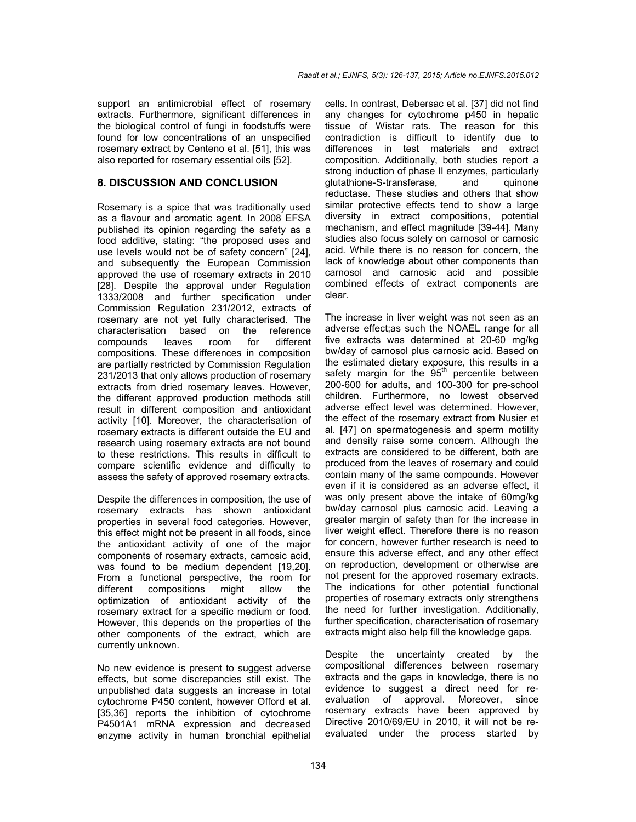support an antimicrobial effect of rosemary extracts. Furthermore, significant differences in the biological control of fungi in foodstuffs were found for low concentrations of an unspecified rosemary extract by Centeno et al. [51], this was also reported for rosemary essential oils [52].

#### **8. DISCUSSION AND CONCLUSION**

Rosemary is a spice that was traditionally used as a flavour and aromatic agent. In 2008 EFSA published its opinion regarding the safety as a food additive, stating: "the proposed uses and use levels would not be of safety concern" [24], and subsequently the European Commission approved the use of rosemary extracts in 2010 [28]. Despite the approval under Regulation 1333/2008 and further specification under Commission Regulation 231/2012, extracts of rosemary are not yet fully characterised. The<br>characterisation based on the reference characterisation based on compounds leaves room for different compositions. These differences in composition are partially restricted by Commission Regulation 231/2013 that only allows production of rosemary extracts from dried rosemary leaves. However, the different approved production methods still result in different composition and antioxidant activity [10]. Moreover, the characterisation of rosemary extracts is different outside the EU and research using rosemary extracts are not bound to these restrictions. This results in difficult to compare scientific evidence and difficulty to assess the safety of approved rosemary extracts.

Despite the differences in composition, the use of rosemary extracts has shown antioxidant properties in several food categories. However, this effect might not be present in all foods, since the antioxidant activity of one of the major components of rosemary extracts, carnosic acid, was found to be medium dependent [19,20]. From a functional perspective, the room for different compositions might allow the optimization of antioxidant activity of the rosemary extract for a specific medium or food. However, this depends on the properties of the other components of the extract, which are currently unknown.

No new evidence is present to suggest adverse effects, but some discrepancies still exist. The unpublished data suggests an increase in total cytochrome P450 content, however Offord et al. [35,36] reports the inhibition of cytochrome P4501A1 mRNA expression and decreased enzyme activity in human bronchial epithelial

cells. In contrast, Debersac et al. [37] did not find any changes for cytochrome p450 in hepatic tissue of Wistar rats. The reason for this contradiction is difficult to identify due to differences in test materials and extract composition. Additionally, both studies report a strong induction of phase II enzymes, particularly<br>glutathione-S-transferase, and quinone glutathione-S-transferase, and reductase. These studies and others that show similar protective effects tend to show a large diversity in extract compositions, potential mechanism, and effect magnitude [39-44]. Many studies also focus solely on carnosol or carnosic acid. While there is no reason for concern, the lack of knowledge about other components than carnosol and carnosic acid and possible combined effects of extract components are clear.

The increase in liver weight was not seen as an adverse effect;as such the NOAEL range for all five extracts was determined at 20-60 mg/kg bw/day of carnosol plus carnosic acid. Based on the estimated dietary exposure, this results in a safety margin for the  $95<sup>th</sup>$  percentile between 200-600 for adults, and 100-300 for pre-school children. Furthermore, no lowest observed adverse effect level was determined. However, the effect of the rosemary extract from Nusier et al. [47] on spermatogenesis and sperm motility and density raise some concern. Although the extracts are considered to be different, both are produced from the leaves of rosemary and could contain many of the same compounds. However even if it is considered as an adverse effect, it was only present above the intake of 60mg/kg bw/day carnosol plus carnosic acid. Leaving a greater margin of safety than for the increase in liver weight effect. Therefore there is no reason for concern, however further research is need to ensure this adverse effect, and any other effect on reproduction, development or otherwise are not present for the approved rosemary extracts. The indications for other potential functional properties of rosemary extracts only strengthens the need for further investigation. Additionally, further specification, characterisation of rosemary extracts might also help fill the knowledge gaps.

Despite the uncertainty created by the compositional differences between rosemary extracts and the gaps in knowledge, there is no evidence to suggest a direct need for reevaluation of approval. Moreover, since rosemary extracts have been approved by Directive 2010/69/EU in 2010, it will not be reevaluated under the process started by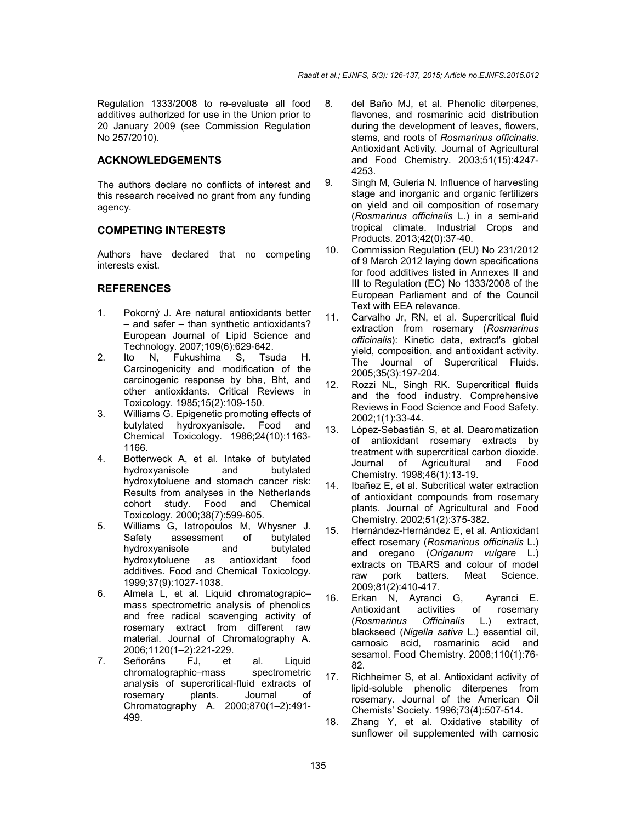Regulation 1333/2008 to re-evaluate all food additives authorized for use in the Union prior to 20 January 2009 (see Commission Regulation No 257/2010).

## **ACKNOWLEDGEMENTS**

The authors declare no conflicts of interest and this research received no grant from any funding agency.

#### **COMPETING INTERESTS**

Authors have declared that no competing interests exist.

### **REFERENCES**

- 1. Pokorný J. Are natural antioxidants better – and safer – than synthetic antioxidants? European Journal of Lipid Science and Technology. 2007;109(6):629-642.
- 2. Ito N, Fukushima S, Tsuda H. Carcinogenicity and modification of the carcinogenic response by bha, Bht, and other antioxidants. Critical Reviews in Toxicology. 1985;15(2):109-150.
- 3. Williams G. Epigenetic promoting effects of butylated hydroxyanisole. Food and Chemical Toxicology. 1986;24(10):1163- 1166.
- 4. Botterweck A, et al. Intake of butylated hydroxyanisole and butylated hydroxytoluene and stomach cancer risk: Results from analyses in the Netherlands cohort study. Food and Chemical Toxicology. 2000;38(7):599-605.
- 5. Williams G, Iatropoulos M, Whysner J. Safety assessment of butylated<br>hydroxyanisole and butylated hydroxyanisole and butylated<br>hydroxytoluene as antioxidant food as antioxidant additives. Food and Chemical Toxicology. 1999;37(9):1027-1038.
- 6. Almela L, et al. Liquid chromatograpic– mass spectrometric analysis of phenolics and free radical scavenging activity of rosemary extract from different raw material. Journal of Chromatography A. 2006;1120(1–2):221-229.
- 7. Señoráns FJ, et al. Liquid chromatographic–mass spectrometric analysis of supercritical-fluid extracts of rosemary plants. Journal of Chromatography A. 2000;870(1–2):491- 499.
- 8. del Baño MJ, et al. Phenolic diterpenes, flavones, and rosmarinic acid distribution during the development of leaves, flowers, stems, and roots of *Rosmarinus officinalis*. Antioxidant Activity. Journal of Agricultural and Food Chemistry. 2003;51(15):4247- 4253.
- 9. Singh M, Guleria N. Influence of harvesting stage and inorganic and organic fertilizers on yield and oil composition of rosemary (*Rosmarinus officinalis* L.) in a semi-arid tropical climate. Industrial Crops and Products. 2013;42(0):37-40.
- 10. Commission Regulation (EU) No 231/2012 of 9 March 2012 laying down specifications for food additives listed in Annexes II and III to Regulation (EC) No 1333/2008 of the European Parliament and of the Council Text with EEA relevance.
- 11. Carvalho Jr, RN, et al. Supercritical fluid extraction from rosemary (*Rosmarinus officinalis*): Kinetic data, extract's global yield, composition, and antioxidant activity. The Journal of Supercritical Fluids. 2005;35(3):197-204.
- 12. Rozzi NL, Singh RK. Supercritical fluids and the food industry. Comprehensive Reviews in Food Science and Food Safety. 2002;1(1):33-44.
- 13. López-Sebastián S, et al. Dearomatization of antioxidant rosemary extracts by treatment with supercritical carbon dioxide. Journal of Agricultural and Food Chemistry. 1998;46(1):13-19.
- 14. Ibañez E, et al. Subcritical water extraction of antioxidant compounds from rosemary plants. Journal of Agricultural and Food Chemistry. 2002;51(2):375-382.
- 15. Hernández-Hernández E, et al. Antioxidant effect rosemary (*Rosmarinus officinalis* L.) and oregano (*Origanum vulgare* L.) extracts on TBARS and colour of model<br>raw pork batters. Meat Science. raw pork batters. Meat Science. 2009;81(2):410-417.
- 16. Erkan N, Ayranci G, Ayranci E. Antioxidant activities of rosemary (*Rosmarinus Officinalis* L.) extract, blackseed (*Nigella sativa* L.) essential oil, carnosic acid, rosmarinic acid and sesamol. Food Chemistry. 2008;110(1):76- 82.
- 17. Richheimer S, et al. Antioxidant activity of lipid-soluble phenolic diterpenes from rosemary. Journal of the American Oil Chemists' Society. 1996;73(4):507-514.
- 18. Zhang Y, et al. Oxidative stability of sunflower oil supplemented with carnosic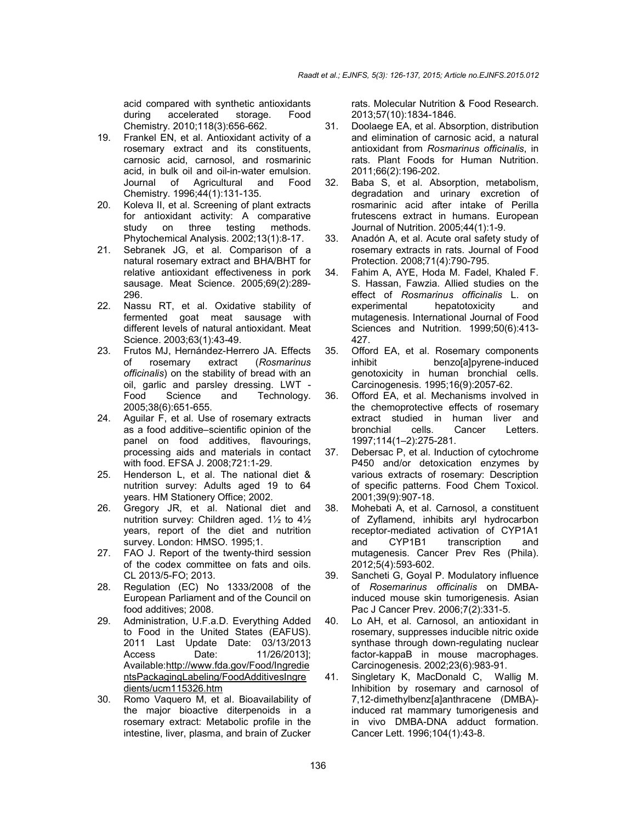acid compared with synthetic antioxidants during accelerated storage. Food Chemistry. 2010;118(3):656-662.

- 19. Frankel EN, et al. Antioxidant activity of a rosemary extract and its constituents, carnosic acid, carnosol, and rosmarinic acid, in bulk oil and oil-in-water emulsion. Journal of Agricultural and Food Chemistry. 1996;44(1):131-135.
- 20. Koleva II, et al. Screening of plant extracts for antioxidant activity: A comparative study on three testing methods. Phytochemical Analysis. 2002;13(1):8-17.
- 21. Sebranek JG, et al. Comparison of a natural rosemary extract and BHA/BHT for relative antioxidant effectiveness in pork sausage. Meat Science. 2005;69(2):289- 296.
- 22. Nassu RT, et al. Oxidative stability of fermented goat meat sausage with different levels of natural antioxidant. Meat Science. 2003;63(1):43-49.
- 23. Frutos MJ, Hernández-Herrero JA. Effects of rosemary extract (*Rosmarinus officinalis*) on the stability of bread with an oil, garlic and parsley dressing. LWT - Food Science and Technology. 2005;38(6):651-655.
- 24. Aguilar F, et al. Use of rosemary extracts as a food additive–scientific opinion of the panel on food additives, flavourings, processing aids and materials in contact with food. EFSA J. 2008;721:1-29.
- 25. Henderson L, et al. The national diet & nutrition survey: Adults aged 19 to 64 years. HM Stationery Office; 2002.
- 26. Gregory JR, et al. National diet and nutrition survey: Children aged. 1½ to 4½ years, report of the diet and nutrition survey. London: HMSO. 1995;1.
- 27. FAO J. Report of the twenty-third session of the codex committee on fats and oils. CL 2013/5-FO; 2013.
- 28. Regulation (EC) No 1333/2008 of the European Parliament and of the Council on food additives; 2008.
- 29. Administration, U.F.a.D. Everything Added to Food in the United States (EAFUS). 2011 Last Update Date: 03/13/2013 Access Date: 11/26/2013]; Available:http://www.fda.gov/Food/Ingredie ntsPackagingLabeling/FoodAdditivesIngre dients/ucm115326.htm
- 30. Romo Vaquero M, et al. Bioavailability of the major bioactive diterpenoids in a rosemary extract: Metabolic profile in the intestine, liver, plasma, and brain of Zucker

rats. Molecular Nutrition & Food Research. 2013;57(10):1834-1846.

- 31. Doolaege EA, et al. Absorption, distribution and elimination of carnosic acid, a natural antioxidant from *Rosmarinus officinalis*, in rats. Plant Foods for Human Nutrition. 2011;66(2):196-202.
- 32. Baba S, et al. Absorption, metabolism, degradation and urinary excretion of rosmarinic acid after intake of Perilla frutescens extract in humans. European Journal of Nutrition. 2005;44(1):1-9.
- 33. Anadón A, et al. Acute oral safety study of rosemary extracts in rats. Journal of Food Protection. 2008;71(4):790-795.
- 34. Fahim A, AYE, Hoda M. Fadel, Khaled F. S. Hassan, Fawzia. Allied studies on the effect of *Rosmarinus officinalis* L. on experimental hepatotoxicity and mutagenesis. International Journal of Food Sciences and Nutrition. 1999;50(6):413- 427.
- 35. Offord EA, et al. Rosemary components inhibit benzo[a]pyrene-induced genotoxicity in human bronchial cells. Carcinogenesis. 1995;16(9):2057-62.
- 36. Offord EA, et al. Mechanisms involved in the chemoprotective effects of rosemary extract studied in human liver and bronchial cells. Cancer Letters. 1997;114(1–2):275-281.
- 37. Debersac P, et al. Induction of cytochrome P450 and/or detoxication enzymes by various extracts of rosemary: Description of specific patterns. Food Chem Toxicol. 2001;39(9):907-18.
- 38. Mohebati A, et al. Carnosol, a constituent of Zyflamend, inhibits aryl hydrocarbon receptor-mediated activation of CYP1A1 and CYP1B1 transcription and mutagenesis. Cancer Prev Res (Phila). 2012;5(4):593-602.
- 39. Sancheti G, Goyal P. Modulatory influence of *Rosemarinus officinalis* on DMBAinduced mouse skin tumorigenesis. Asian Pac J Cancer Prev. 2006;7(2):331-5.
- 40. Lo AH, et al. Carnosol, an antioxidant in rosemary, suppresses inducible nitric oxide synthase through down-regulating nuclear factor-kappaB in mouse macrophages. Carcinogenesis. 2002;23(6):983-91.
- 41. Singletary K, MacDonald C, Wallig M. Inhibition by rosemary and carnosol of 7,12-dimethylbenz[a]anthracene (DMBA) induced rat mammary tumorigenesis and in vivo DMBA-DNA adduct formation. Cancer Lett. 1996;104(1):43-8.